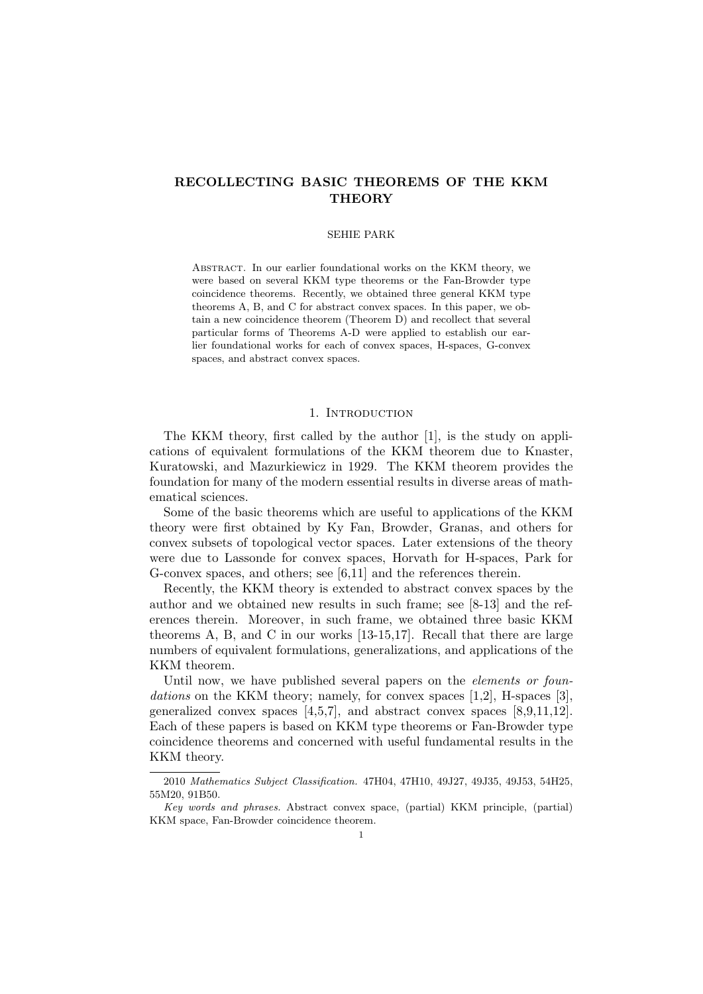# **RECOLLECTING BASIC THEOREMS OF THE KKM THEORY**

#### SEHIE PARK

Abstract. In our earlier foundational works on the KKM theory, we were based on several KKM type theorems or the Fan-Browder type coincidence theorems. Recently, we obtained three general KKM type theorems A, B, and C for abstract convex spaces. In this paper, we obtain a new coincidence theorem (Theorem D) and recollect that several particular forms of Theorems A-D were applied to establish our earlier foundational works for each of convex spaces, H-spaces, G-convex spaces, and abstract convex spaces.

# 1. INTRODUCTION

The KKM theory, first called by the author [1], is the study on applications of equivalent formulations of the KKM theorem due to Knaster, Kuratowski, and Mazurkiewicz in 1929. The KKM theorem provides the foundation for many of the modern essential results in diverse areas of mathematical sciences.

Some of the basic theorems which are useful to applications of the KKM theory were first obtained by Ky Fan, Browder, Granas, and others for convex subsets of topological vector spaces. Later extensions of the theory were due to Lassonde for convex spaces, Horvath for H-spaces, Park for G-convex spaces, and others; see [6,11] and the references therein.

Recently, the KKM theory is extended to abstract convex spaces by the author and we obtained new results in such frame; see [8-13] and the references therein. Moreover, in such frame, we obtained three basic KKM theorems A, B, and C in our works [13-15,17]. Recall that there are large numbers of equivalent formulations, generalizations, and applications of the KKM theorem.

Until now, we have published several papers on the *elements or foun*dations on the KKM theory; namely, for convex spaces [1,2], H-spaces [3], generalized convex spaces  $\left[4,5,7\right]$ , and abstract convex spaces  $\left[8,9,11,12\right]$ . Each of these papers is based on KKM type theorems or Fan-Browder type coincidence theorems and concerned with useful fundamental results in the KKM theory.

<sup>2010</sup> *Mathematics Subject Classification.* 47H04, 47H10, 49J27, 49J35, 49J53, 54H25, 55M20, 91B50.

*Key words and phrases.* Abstract convex space, (partial) KKM principle, (partial) KKM space, Fan-Browder coincidence theorem.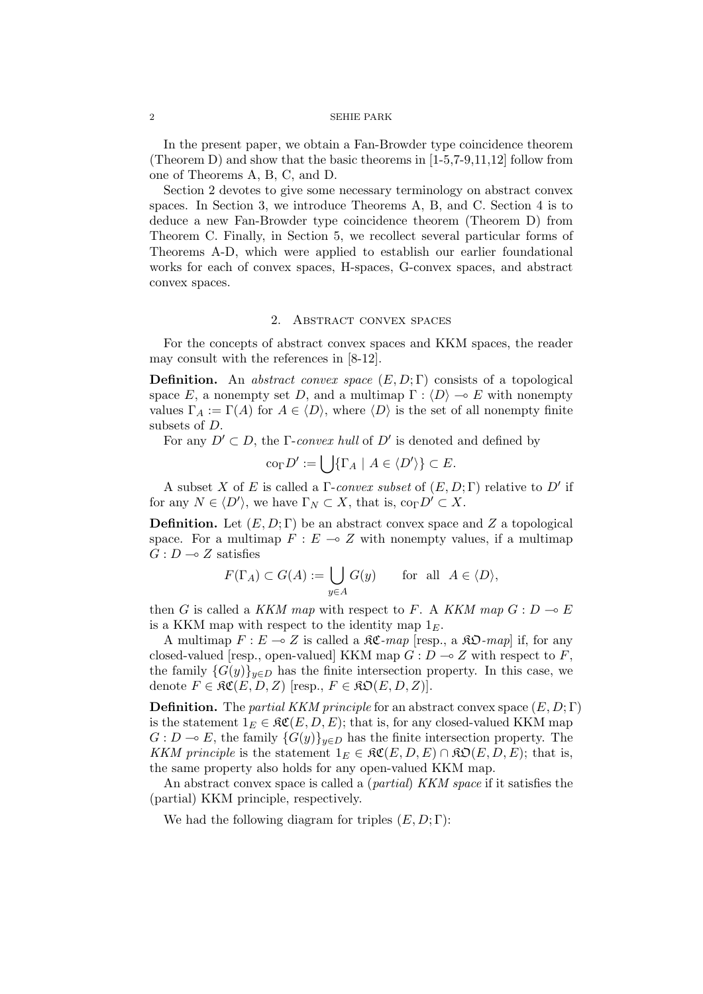In the present paper, we obtain a Fan-Browder type coincidence theorem (Theorem D) and show that the basic theorems in [1-5,7-9,11,12] follow from one of Theorems A, B, C, and D.

Section 2 devotes to give some necessary terminology on abstract convex spaces. In Section 3, we introduce Theorems A, B, and C. Section 4 is to deduce a new Fan-Browder type coincidence theorem (Theorem D) from Theorem C. Finally, in Section 5, we recollect several particular forms of Theorems A-D, which were applied to establish our earlier foundational works for each of convex spaces, H-spaces, G-convex spaces, and abstract convex spaces.

### 2. Abstract convex spaces

For the concepts of abstract convex spaces and KKM spaces, the reader may consult with the references in [8-12].

**Definition.** An *abstract convex space* (*E, D*; Γ) consists of a topological space *E*, a nonempty set *D*, and a multimap  $\Gamma : \langle D \rangle \to E$  with nonempty values  $\Gamma_A := \Gamma(A)$  for  $A \in \langle D \rangle$ , where  $\langle D \rangle$  is the set of all nonempty finite subsets of *D*.

For any  $D' \subset D$ , the  $\Gamma$ -*convex hull* of  $D'$  is denoted and defined by

$$
\operatorname{co}_{\Gamma} D' := \bigcup \{ \Gamma_A \mid A \in \langle D' \rangle \} \subset E.
$$

A subset *X* of *E* is called a Γ-*convex subset* of (*E, D*; Γ) relative to *D′* if for any  $N \in \langle D' \rangle$ , we have  $\Gamma_N \subset X$ , that is,  $\text{co}_{\Gamma} D' \subset X$ .

**Definition.** Let (*E, D*; Γ) be an abstract convex space and *Z* a topological space. For a multimap  $F: E \to Z$  with nonempty values, if a multimap  $G: D \longrightarrow Z$  satisfies

$$
F(\Gamma_A) \subset G(A) := \bigcup_{y \in A} G(y) \quad \text{for all } A \in \langle D \rangle,
$$

then *G* is called a *KKM map* with respect to *F*. A *KKM map*  $G: D \to E$ is a KKM map with respect to the identity map 1*E*.

A multimap  $F: E \to Z$  is called a  $\mathcal{RC}$ *-map* [resp., a  $\mathcal{RD}$ *-map*] if, for any closed-valued [resp., open-valued] KKM map  $G: D \to Z$  with respect to  $F$ , the family  ${G(y)}_{y \in D}$  has the finite intersection property. In this case, we denote  $F \in \mathfrak{RC}(E, D, Z)$  [resp.,  $F \in \mathfrak{RD}(E, D, Z)$ ].

**Definition.** The *partial KKM principle* for an abstract convex space (*E, D*; Γ) is the statement  $1_E \in \mathfrak{RC}(E, D, E)$ ; that is, for any closed-valued KKM map  $G: D \to E$ , the family  ${G(y)}_{y \in D}$  has the finite intersection property. The *KKM principle* is the statement  $1_E \in \mathfrak{RC}(E,D,E) \cap \mathfrak{RO}(E,D,E)$ ; that is, the same property also holds for any open-valued KKM map.

An abstract convex space is called a (*partial*) *KKM space* if it satisfies the (partial) KKM principle, respectively.

We had the following diagram for triples  $(E, D; \Gamma)$ :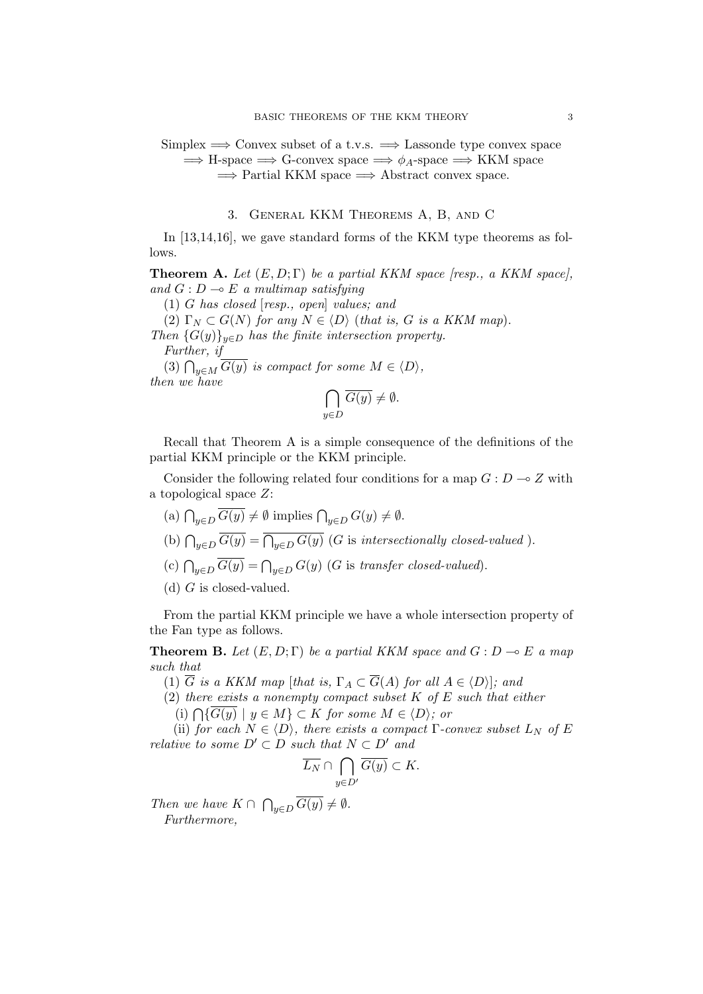# Simplex =*⇒* Convex subset of a t.v.s. =*⇒* Lassonde type convex space =*⇒* H-space =*⇒* G-convex space =*⇒ ϕA*-space =*⇒* KKM space =*⇒* Partial KKM space =*⇒* Abstract convex space.

# 3. General KKM Theorems A, B, and C

In [13,14,16], we gave standard forms of the KKM type theorems as follows.

**Theorem A.** Let  $(E, D; \Gamma)$  be a partial KKM space [resp., a KKM space], *and*  $G: D \to E$  *a multimap satisfying* 

(1) *G has closed* [*resp., open*] *values; and* (2)  $\Gamma_N \subset G(N)$  for any  $N \in \langle D \rangle$  (*that is, G is a KKM map*). *Then*  ${G(y)}_{y \in D}$  *has the finite intersection property. Further, if*

(3)  $\bigcap_{y \in M} \overline{G(y)}$  *is compact for some*  $M \in \langle D \rangle$ *, then we have*

$$
\bigcap_{y \in D} \overline{G(y)} \neq \emptyset.
$$

Recall that Theorem A is a simple consequence of the definitions of the partial KKM principle or the KKM principle.

Consider the following related four conditions for a map  $G: D \to Z$  with a topological space *Z*:

- $(a) \bigcap_{y \in D} \overline{G(y)} \neq \emptyset$  implies  $\bigcap_{y \in D} G(y) \neq \emptyset$ .
- (b)  $\bigcap_{y \in D} \overline{G(y)} = \overline{\bigcap_{y \in D} G(y)}$  (*G* is *intersectionally closed-valued*).
- (c)  $\bigcap_{y \in D} \overline{G(y)} = \bigcap_{y \in D} G(y)$  (*G* is *transfer closed-valued*).
- (d) *G* is closed-valued.

From the partial KKM principle we have a whole intersection property of the Fan type as follows.

**Theorem B.** Let  $(E, D; \Gamma)$  be a partial KKM space and  $G: D \to E$  a map *such that*

(1)  $\overline{G}$  *is a KKM map* [*that is,*  $\Gamma_A \subset \overline{G}(A)$  *for all*  $A \in \langle D \rangle$ ]*; and* 

(2) *there exists a nonempty compact subset K of E such that either*

 $(i) \bigcap \{ \overline{G(y)} \mid y \in M \}$  ⊂ *K for some*  $M \in \langle D \rangle$ *; or* 

(ii) *for each*  $N \in \langle D \rangle$ *, there exists a compact*  $\Gamma$ *-convex subset*  $L_N$  *of*  $E$ *relative to some*  $D' \subset D$  *such that*  $N \subset D'$  *and* 

$$
\overline{L_N}\cap \bigcap_{y\in D'}\overline{G(y)}\subset K.
$$

*Then we have*  $K \cap \bigcap_{y \in D} \overline{G(y)} \neq \emptyset$ *. Furthermore,*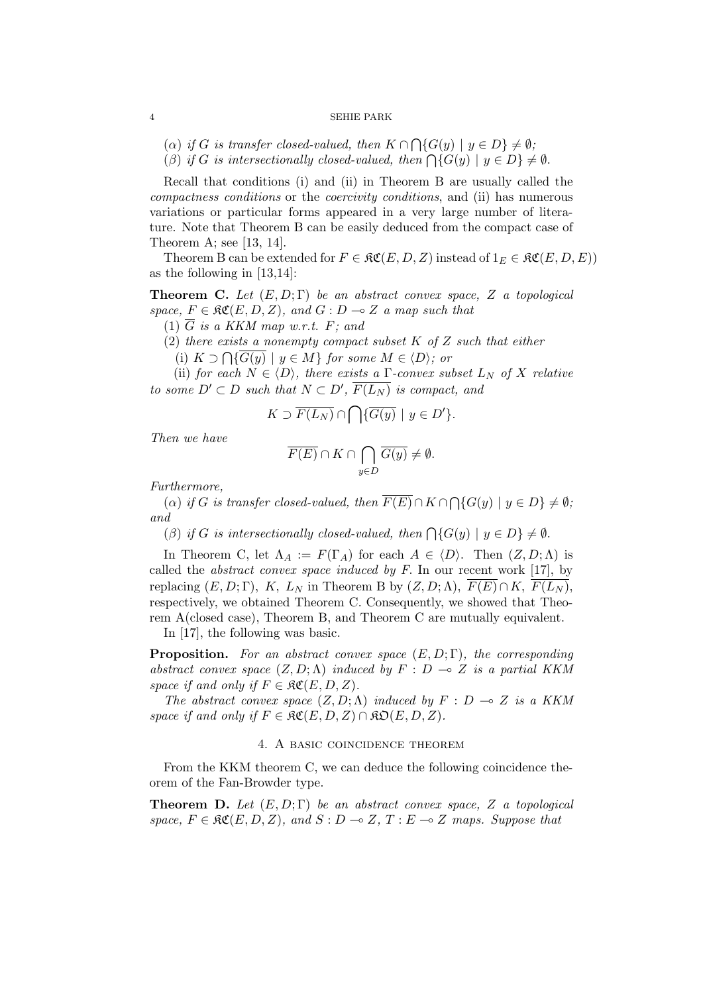- $(\alpha)$  *if G is transfer closed-valued, then*  $K \cap \bigcap \{G(y) \mid y \in D\} \neq \emptyset$ ;
- (*β*) *if G is intersectionally closed-valued, then*  $\bigcap \{G(y) \mid y \in D\} \neq \emptyset$ .

Recall that conditions (i) and (ii) in Theorem B are usually called the *compactness conditions* or the *coercivity conditions*, and (ii) has numerous variations or particular forms appeared in a very large number of literature. Note that Theorem B can be easily deduced from the compact case of Theorem A; see [13, 14].

Theorem B can be extended for  $F \in \mathcal{RC}(E, D, Z)$  instead of  $1_F \in \mathcal{RC}(E, D, E)$ as the following in [13,14]:

**Theorem C.** *Let* (*E, D*; Γ) *be an abstract convex space, Z a topological space,*  $F \in \mathfrak{RC}(E, D, Z)$ *, and*  $G : D \to Z$  *a map such that* 

- (1) *G is a KKM map w.r.t. F; and*
- (2) *there exists a nonempty compact subset K of Z such that either*
	- (i)  $K \supset \bigcap \{ \overline{G(y)} \mid y \in M \}$  *for some*  $M \in \langle D \rangle$ *; or*

(ii) *for each*  $N \in \langle D \rangle$ *, there exists a*  $\Gamma$ *-convex subset*  $L_N$  *of*  $X$  *relative to some*  $D' ⊂ D$  *such that*  $N ⊂ D'$ ,  $F(L_N)$  *is compact, and* 

$$
K \supset \overline{F(L_N)} \cap \bigcap \{ \overline{G(y)} \mid y \in D' \}.
$$

*Then we have*

$$
\overline{F(E)} \cap K \cap \bigcap_{y \in D} \overline{G(y)} \neq \emptyset.
$$

*Furthermore,*

 $(\alpha)$  *if G is transfer closed-valued, then*  $\overline{F(E)} \cap K \cap \bigcap \{G(y) \mid y \in D\} \neq \emptyset$ ; *and*

(*β*) *if G is intersectionally closed-valued, then*  $\bigcap \{G(y) \mid y \in D\} \neq \emptyset$ .

In Theorem C, let  $\Lambda_A := F(\Gamma_A)$  for each  $A \in \langle D \rangle$ . Then  $(Z, D; \Lambda)$  is called the *abstract convex space induced by F*. In our recent work [17], by replacing  $(E, D; \Gamma)$ ,  $K$ ,  $L_N$  in Theorem B by  $(Z, D; \Lambda)$ ,  $\overline{F(E)} \cap K$ ,  $\overline{F(L_N)}$ , respectively, we obtained Theorem C. Consequently, we showed that Theorem A(closed case), Theorem B, and Theorem C are mutually equivalent.

In [17], the following was basic.

**Proposition.** *For an abstract convex space* (*E, D*; Γ)*, the corresponding abstract convex space*  $(Z, D; \Lambda)$  *induced by*  $F : D \multimap Z$  *is a partial KKM space if and only if*  $F \in \mathfrak{RC}(E, D, Z)$ *.* 

*The abstract convex space*  $(Z, D; \Lambda)$  *induced by*  $F : D \to Z$  *is a KKM space if and only if*  $F \in \mathfrak{RC}(E, D, Z) \cap \mathfrak{RD}(E, D, Z)$ .

## 4. A basic coincidence theorem

From the KKM theorem C, we can deduce the following coincidence theorem of the Fan-Browder type.

**Theorem D.** *Let* (*E, D*; Γ) *be an abstract convex space, Z a topological*  $space, F \in \mathfrak{RC}(E, D, Z), and S: D \to Z, T: E \to Z \text{ maps. Suppose that}$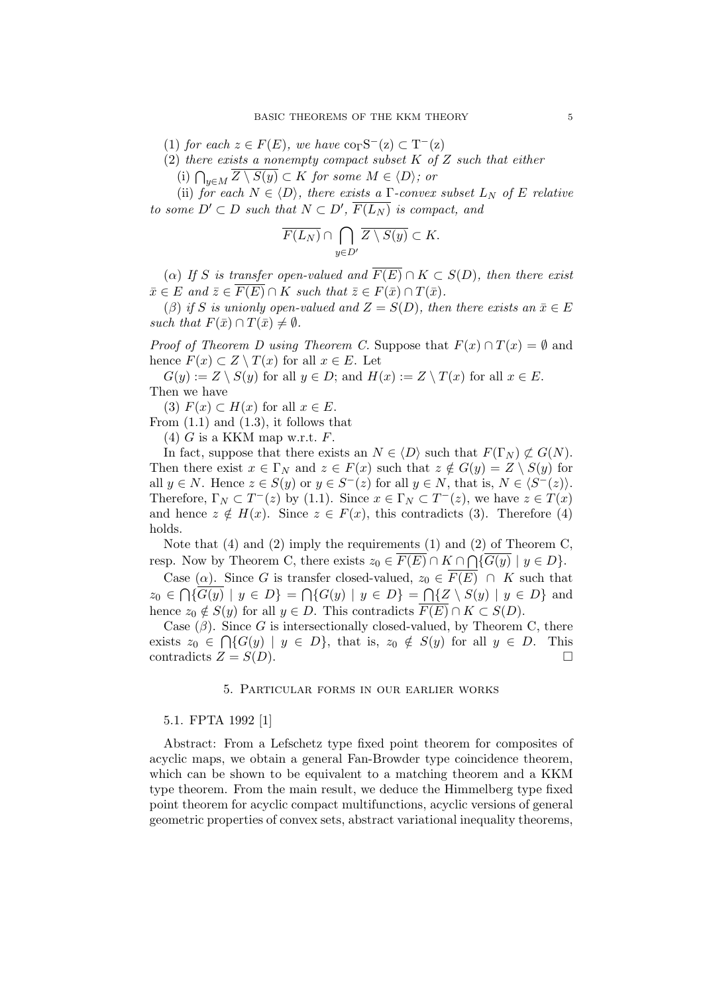$(1)$  *for each*  $z \in F(E)$ *, we have*  $\text{co}_{\Gamma}S^{-}(z) \subset T^{-}(z)$ 

(2) *there exists a nonempty compact subset K of Z such that either*

(i)  $\bigcap_{y \in M} \overline{Z \setminus S(y)} \subset K$  *for some*  $M \in \langle D \rangle$ *; or* 

(ii) *for each*  $N \in \langle D \rangle$ *, there exists a*  $\Gamma$ *-convex subset*  $L_N$  *of*  $E$  *relative to some*  $D' ⊂ D$  *such that*  $N ⊂ D'$ ,  $F(L_N)$  *is compact, and* 

$$
\overline{F(L_N)} \cap \bigcap_{y \in D'} \overline{Z \setminus S(y)} \subset K.
$$

( $\alpha$ ) If *S* is transfer open-valued and  $\overline{F(E)} \cap K \subset S(D)$ , then there exist  $\overline{x} \in E$  *and*  $\overline{z} \in \overline{F(E)} \cap K$  *such that*  $\overline{z} \in F(\overline{x}) \cap T(\overline{x})$ *.* 

(*β*) if *S* is unionly open-valued and  $Z = S(D)$ , then there exists an  $\bar{x} \in E$ *such that*  $F(\bar{x}) \cap T(\bar{x}) \neq \emptyset$ *.* 

*Proof of Theorem D using Theorem C.* Suppose that  $F(x) \cap T(x) = \emptyset$  and hence  $F(x) \subset Z \setminus T(x)$  for all  $x \in E$ . Let

 $G(y) := Z \setminus S(y)$  for all  $y \in D$ ; and  $H(x) := Z \setminus T(x)$  for all  $x \in E$ . Then we have

(3)  $F(x) \subset H(x)$  for all  $x \in E$ .

From  $(1.1)$  and  $(1.3)$ , it follows that

(4) *G* is a KKM map w.r.t. *F*.

In fact, suppose that there exists an  $N \in \langle D \rangle$  such that  $F(\Gamma_N) \not\subset G(N)$ . Then there exist  $x \in \Gamma_N$  and  $z \in F(x)$  such that  $z \notin G(y) = Z \setminus S(y)$  for all *y*  $\in$  *N*. Hence *z*  $\in$  *S*(*y*) or *y*  $\in$  *S*<sup>−</sup>(*z*) for all *y*  $\in$  *N*, that is, *N*  $\in$   $\langle$  *S*<sup>−</sup>(*z*) $\rangle$ . Therefore,  $\Gamma_N \subset T^-(z)$  by (1.1). Since  $x \in \Gamma_N \subset T^-(z)$ , we have  $z \in T(x)$ and hence  $z \notin H(x)$ . Since  $z \in F(x)$ , this contradicts (3). Therefore (4) holds.

Note that (4) and (2) imply the requirements (1) and (2) of Theorem C, resp. Now by Theorem C, there exists  $z_0 \in \overline{F(E)} \cap K \cap \bigcap {\overline{G(y)}} \mid y \in D$ .

Case ( $\alpha$ ). Since *G* is transfer closed-valued,  $z_0 \in \overline{F(E)} \cap K$  such that  $z_0 \in \bigcap \{\overline{G(y)} \mid y \in D\} = \bigcap \{G(y) \mid y \in D\} = \bigcap \{Z \setminus S(y) \mid y \in D\}$  and hence  $z_0 \notin S(y)$  for all  $y \in D$ . This contradicts  $\overline{F(E)} \cap K \subset S(D)$ .

Case  $(\beta)$ . Since *G* is intersectionally closed-valued, by Theorem C, there exists  $z_0 \in \bigcap \{G(y) \mid y \in D\}$ , that is,  $z_0 \notin S(y)$  for all  $y \in D$ . This contradicts  $Z = S(D)$ .

# 5. Particular forms in our earlier works

# 5.1. FPTA 1992 [1]

Abstract: From a Lefschetz type fixed point theorem for composites of acyclic maps, we obtain a general Fan-Browder type coincidence theorem, which can be shown to be equivalent to a matching theorem and a KKM type theorem. From the main result, we deduce the Himmelberg type fixed point theorem for acyclic compact multifunctions, acyclic versions of general geometric properties of convex sets, abstract variational inequality theorems,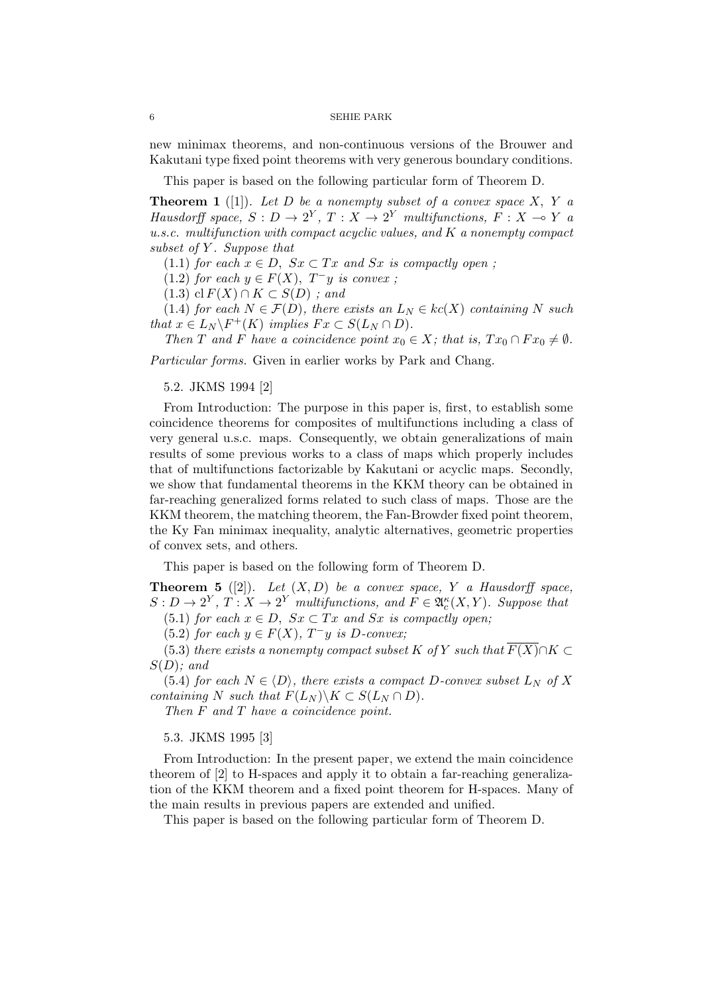new minimax theorems, and non-continuous versions of the Brouwer and Kakutani type fixed point theorems with very generous boundary conditions.

This paper is based on the following particular form of Theorem D.

**Theorem 1** ([1]). Let D be a nonempty subset of a convex space X, Y a *Hausdorff space,*  $S: D \to 2^Y$ ,  $T: X \to 2^Y$  *multifunctions,*  $F: X \to Y$  *a u.s.c. multifunction with compact acyclic values, and K a nonempty compact subset of Y . Suppose that*

(1.1) *for each*  $x \in D$ ,  $Sx \subset Tx$  *and*  $Sx$  *is compactly open*;

 $(1.2)$  *for each*  $y \in F(X)$ *,*  $T^- y$  *is convex ;* 

 $(1.3)$  cl  $F(X) \cap K \subset S(D)$ ; and

(1.4) *for each*  $N \in \mathcal{F}(D)$ *, there exists an*  $L_N \in kc(X)$  *containing*  $N$  *such that*  $x \in L_N \backslash F^+(K)$  *implies*  $Fx \subset S(L_N \cap D)$ *.* 

*Then T* and *F have* a coincidence point  $x_0 \in X$ ; that is,  $Tx_0 \cap F x_0 \neq \emptyset$ .

*Particular forms.* Given in earlier works by Park and Chang.

5.2. JKMS 1994 [2]

From Introduction: The purpose in this paper is, first, to establish some coincidence theorems for composites of multifunctions including a class of very general u.s.c. maps. Consequently, we obtain generalizations of main results of some previous works to a class of maps which properly includes that of multifunctions factorizable by Kakutani or acyclic maps. Secondly, we show that fundamental theorems in the KKM theory can be obtained in far-reaching generalized forms related to such class of maps. Those are the KKM theorem, the matching theorem, the Fan-Browder fixed point theorem, the Ky Fan minimax inequality, analytic alternatives, geometric properties of convex sets, and others.

This paper is based on the following form of Theorem D.

**Theorem 5** ([2]). Let  $(X, D)$  be a convex space, Y a Hausdorff space,  $S: D \to 2^Y, T: X \to 2^Y$  *multifunctions, and*  $F \in \mathfrak{A}_c^{\kappa}(X, Y)$ *. Suppose that* (5.1) *for each*  $x \in D$ ,  $Sx \subset Tx$  *and*  $Sx$  *is compactly open;* 

 $(5.2)$  *for each*  $y \in F(X)$ ,  $T^-y$  *is D*-convex;

(5.3) *there exists a nonempty compact subset*  $K$  *of*  $Y$  *such that*  $\overline{F(X)} \cap K \subset$ *S*(*D*)*; and*

(5.4) *for each*  $N \in \langle D \rangle$ *, there exists a compact*  $D$ *-convex subset*  $L_N$  *of*  $X$ *containing*  $N$  *such that*  $F(L_N) \backslash K \subset S(L_N \cap D)$ .

*Then F and T have a coincidence point.*

5.3. JKMS 1995 [3]

From Introduction: In the present paper, we extend the main coincidence theorem of [2] to H-spaces and apply it to obtain a far-reaching generalization of the KKM theorem and a fixed point theorem for H-spaces. Many of the main results in previous papers are extended and unified.

This paper is based on the following particular form of Theorem D.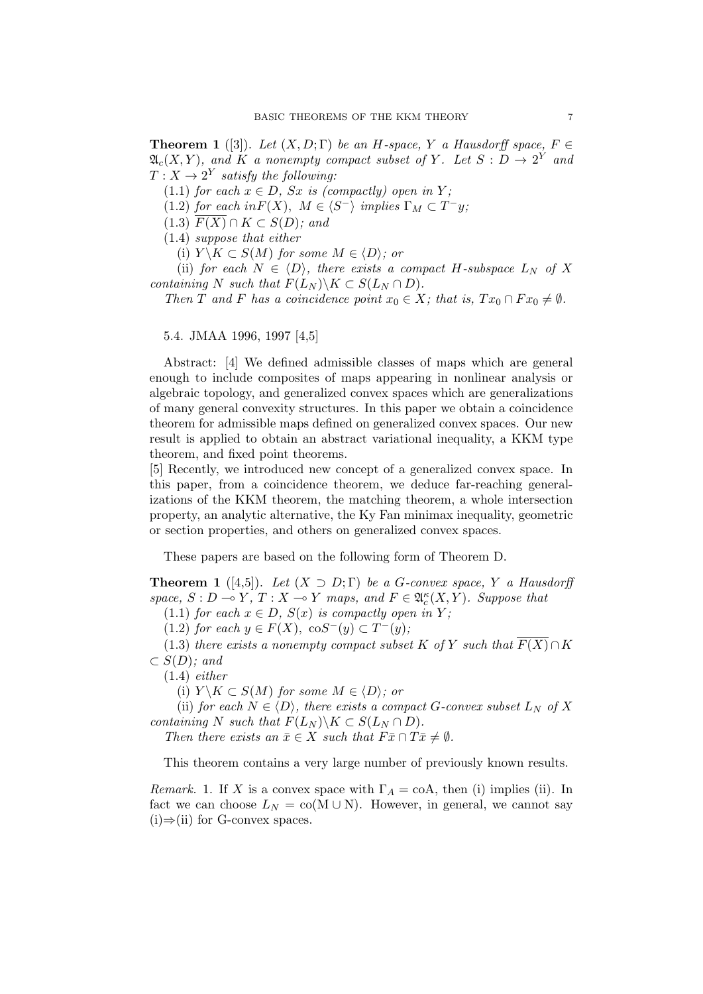**Theorem 1** ([3]). *Let*  $(X, D; \Gamma)$  *be an H-space,*  $Y$  *a Hausdorff space,*  $F \in$  $\mathfrak{A}_c(X,Y)$ , and  $K$  a nonempty compact subset of  $Y$ . Let  $S: D \to 2^Y$  and  $T: X \rightarrow 2^Y$  *satisfy the following:* 

(1.1) *for each*  $x \in D$ *, Sx is (compactly) open in Y;* 

 $(1.2)$  *for each in*  $F(X)$ *,*  $M \in \langle S^- \rangle$  *implies*  $\Gamma_M \subset T^-y$ *;* 

 $F(X) \cap K \subset S(D)$ *; and* 

(1.4) *suppose that either*

(i)  $Y \setminus K \subset S(M)$  *for some*  $M \in \langle D \rangle$ *; or* 

(ii) *for each*  $N \in \langle D \rangle$ *, there exists a compact*  $H$ *-subspace*  $L_N$  *of*  $X$ *containing N such that*  $F(L_N) \backslash K \subset S(L_N \cap D)$ *.* 

*Then T* and *F* has a coincidence point  $x_0 \in X$ *; that is,*  $Tx_0 \cap F x_0 \neq \emptyset$ .

5.4. JMAA 1996, 1997 [4,5]

Abstract: [4] We defined admissible classes of maps which are general enough to include composites of maps appearing in nonlinear analysis or algebraic topology, and generalized convex spaces which are generalizations of many general convexity structures. In this paper we obtain a coincidence theorem for admissible maps defined on generalized convex spaces. Our new result is applied to obtain an abstract variational inequality, a KKM type theorem, and fixed point theorems.

[5] Recently, we introduced new concept of a generalized convex space. In this paper, from a coincidence theorem, we deduce far-reaching generalizations of the KKM theorem, the matching theorem, a whole intersection property, an analytic alternative, the Ky Fan minimax inequality, geometric or section properties, and others on generalized convex spaces.

These papers are based on the following form of Theorem D.

**Theorem 1** ([4,5]). *Let*  $(X \supset D; \Gamma)$  *be a G*-convex space,  $Y$  *a Hausdorff space,*  $S: D \to Y, T: X \to Y$  *maps, and*  $F \in \mathfrak{A}_{c}^{\kappa}(X, Y)$ *. Suppose that* 

(1.1) *for each*  $x \in D$ *,*  $S(x)$  *is compactly open in*  $Y$ *;* 

 $(1.2)$  *for each*  $y \in F(X)$ ,  $\cos^{-1}(y) \subset T^{-}(y)$ ;

(1.3) *there exists a nonempty compact subset*  $K$  *of*  $Y$  *such that*  $F(X) \cap K$ *⊂ S*(*D*)*; and*

(1.4) *either*

(i)  $Y \setminus K \subset S(M)$  for some  $M \in \langle D \rangle$ ; or

(ii) *for each*  $N \in \langle D \rangle$ *, there exists a compact G-convex subset*  $L_N$  *of*  $X$ *containing*  $N$  *such that*  $F(L_N) \backslash K \subset S(L_N \cap D)$ .

*Then there exists an*  $\bar{x} \in X$  *such that*  $F\bar{x} \cap T\bar{x} \neq \emptyset$ *.* 

This theorem contains a very large number of previously known results.

*Remark.* 1. If *X* is a convex space with  $\Gamma_A = \text{coA}$ , then (i) implies (ii). In fact we can choose  $L_N = \text{co}(M \cup N)$ . However, in general, we cannot say (i)*⇒*(ii) for G-convex spaces.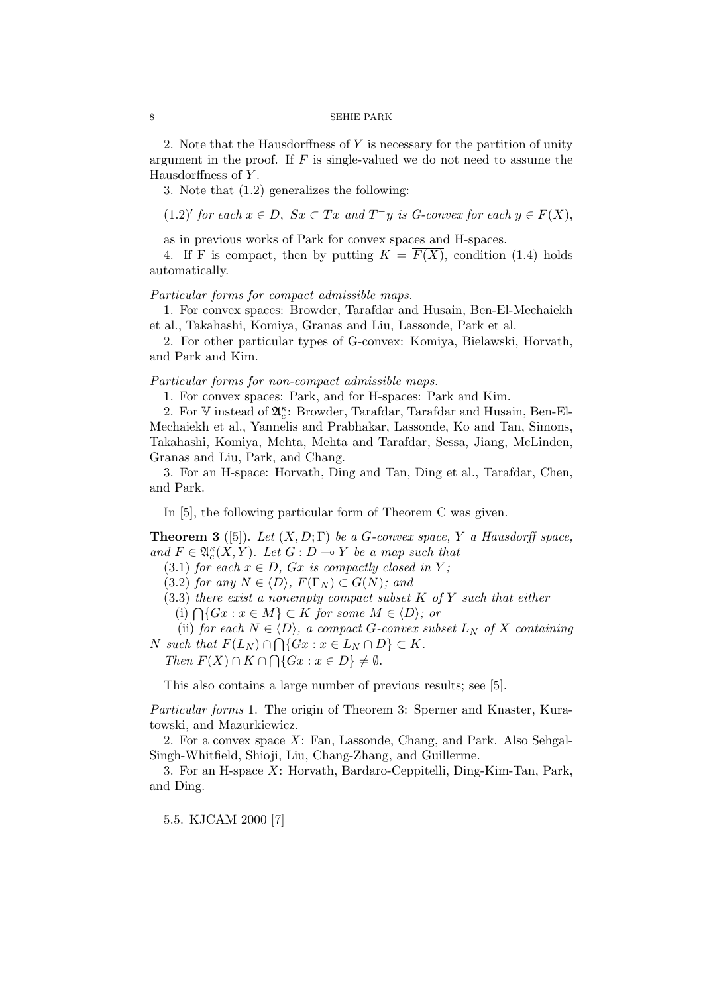2. Note that the Hausdorffness of *Y* is necessary for the partition of unity argument in the proof. If *F* is single-valued we do not need to assume the Hausdorffness of *Y* .

3. Note that (1.2) generalizes the following:

 $(1.2)'$  *for each*  $x \in D$ ,  $Sx \subset Tx$  *and*  $T^-y$  *is G-convex for each*  $y \in F(X)$ ,

as in previous works of Park for convex spaces and H-spaces.

4. If F is compact, then by putting  $K = \overline{F(X)}$ , condition (1.4) holds automatically.

## *Particular forms for compact admissible maps.*

1. For convex spaces: Browder, Tarafdar and Husain, Ben-El-Mechaiekh et al., Takahashi, Komiya, Granas and Liu, Lassonde, Park et al.

2. For other particular types of G-convex: Komiya, Bielawski, Horvath, and Park and Kim.

# *Particular forms for non-compact admissible maps.*

1. For convex spaces: Park, and for H-spaces: Park and Kim.

2. For  $\mathbb {V}$  instead of  $\mathfrak{A}^\kappa_c\colon$  Browder, Tarafdar, Tarafdar and Husain, Ben-El-Mechaiekh et al., Yannelis and Prabhakar, Lassonde, Ko and Tan, Simons, Takahashi, Komiya, Mehta, Mehta and Tarafdar, Sessa, Jiang, McLinden, Granas and Liu, Park, and Chang.

3. For an H-space: Horvath, Ding and Tan, Ding et al., Tarafdar, Chen, and Park.

In [5], the following particular form of Theorem C was given.

**Theorem 3** ([5]). *Let*  $(X, D; \Gamma)$  *be a G-convex space,*  $Y$  *a Hausdorff space, and*  $F \in \mathfrak{A}_{c}^{\kappa}(X, Y)$ *. Let*  $G : D \to Y$  *be a map such that* 

(3.1) *for each*  $x \in D$ *, Gx is compactly closed in Y;* 

 $(3.2)$  *for any*  $N \in \langle D \rangle$ *,*  $F(\Gamma_N) \subset G(N)$ *; and* 

(3.3) *there exist a nonempty compact subset K of Y such that either*

 $(i)$   $\bigcap$ { $Gx : x \in M$ } ⊂ *K for some*  $M \in \langle D \rangle$ *; or* 

(ii) *for each*  $N \in \langle D \rangle$ *, a compact G-convex subset*  $L_N$  *of X containing*  $N$  *such that*  $F(L_N) \cap \bigcap \{Gx : x \in L_N \cap D\} \subset K$ .

 $Then \ \overline{F(X)} \cap K \cap \bigcap \{Gx : x \in D\} \neq \emptyset.$ 

This also contains a large number of previous results; see [5].

*Particular forms* 1. The origin of Theorem 3: Sperner and Knaster, Kuratowski, and Mazurkiewicz.

2. For a convex space *X*: Fan, Lassonde, Chang, and Park. Also Sehgal-Singh-Whitfield, Shioji, Liu, Chang-Zhang, and Guillerme.

3. For an H-space *X*: Horvath, Bardaro-Ceppitelli, Ding-Kim-Tan, Park, and Ding.

5.5. KJCAM 2000 [7]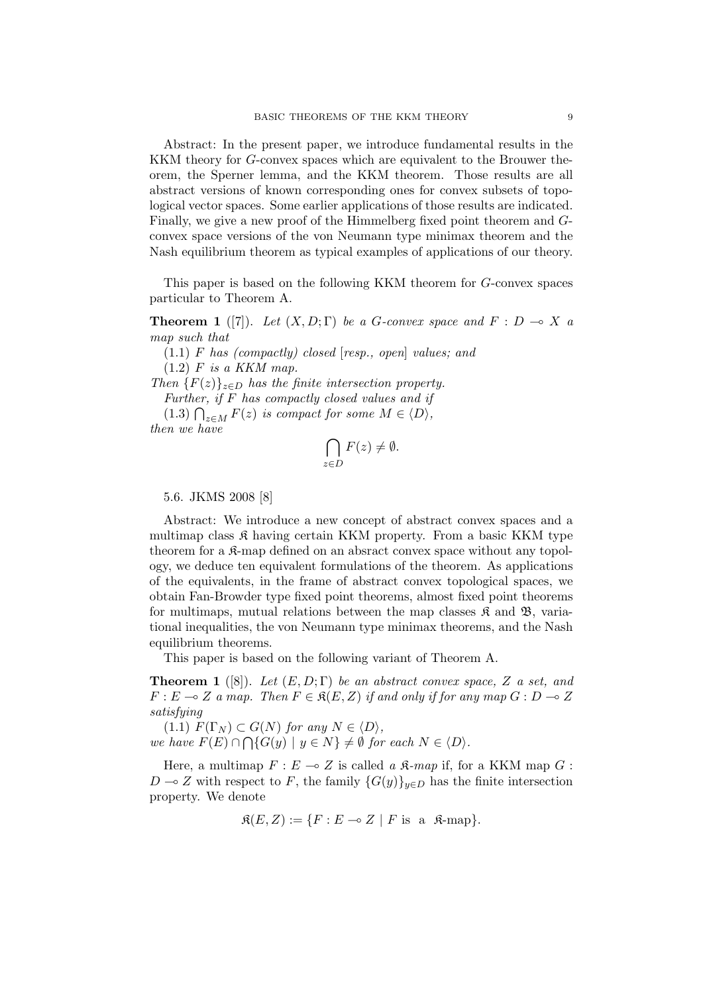Abstract: In the present paper, we introduce fundamental results in the KKM theory for *G*-convex spaces which are equivalent to the Brouwer theorem, the Sperner lemma, and the KKM theorem. Those results are all abstract versions of known corresponding ones for convex subsets of topological vector spaces. Some earlier applications of those results are indicated. Finally, we give a new proof of the Himmelberg fixed point theorem and *G*convex space versions of the von Neumann type minimax theorem and the Nash equilibrium theorem as typical examples of applications of our theory.

This paper is based on the following KKM theorem for *G*-convex spaces particular to Theorem A.

**Theorem 1** ([7]). *Let*  $(X, D; \Gamma)$  *be a G-convex space and*  $F : D \to X$  *a map such that*

(1.1) *F has (compactly) closed* [*resp., open*] *values; and* (1.2) *F is a KKM map.*

*Then*  ${F(z)}_{z \in D}$  *has the finite intersection property.* 

*Further, if F has compactly closed values and if*

(1.3)  $\bigcap_{z \in M} F(z)$  *is compact for some*  $M \in \langle D \rangle$ *, then we have*

$$
\bigcap_{z \in D} F(z) \neq \emptyset.
$$

## 5.6. JKMS 2008 [8]

Abstract: We introduce a new concept of abstract convex spaces and a multimap class  $\mathfrak K$  having certain KKM property. From a basic KKM type theorem for a  $\mathcal{R}$ -map defined on an absract convex space without any topology, we deduce ten equivalent formulations of the theorem. As applications of the equivalents, in the frame of abstract convex topological spaces, we obtain Fan-Browder type fixed point theorems, almost fixed point theorems for multimaps, mutual relations between the map classes  $\mathfrak{K}$  and  $\mathfrak{B}$ , variational inequalities, the von Neumann type minimax theorems, and the Nash equilibrium theorems.

This paper is based on the following variant of Theorem A.

**Theorem 1** ([8]). *Let* (*E, D*; Γ) *be an abstract convex space, Z a set, and*  $F: E \to Z$  *a map. Then*  $F \in \mathcal{R}(E, Z)$  *if and only if for any map*  $G: D \to Z$ *satisfying*

 $F(\Gamma_N) \subset G(N)$  *for any*  $N \in \langle D \rangle$ *, we have*  $F(E) \cap \bigcap \{G(y) \mid y \in N\} \neq \emptyset$  for each  $N \in \langle D \rangle$ .

Here, a multimap  $F: E \to Z$  is called *a*  $\mathcal{R}$ *-map* if, for a KKM map *G*: *D* → *Z* with respect to *F*, the family  ${G(y)}_{y \in D}$  has the finite intersection property. We denote

 $\mathfrak{K}(E, Z) := \{ F : E \multimap Z \mid F \text{ is a } \mathfrak{K}\text{-map} \}.$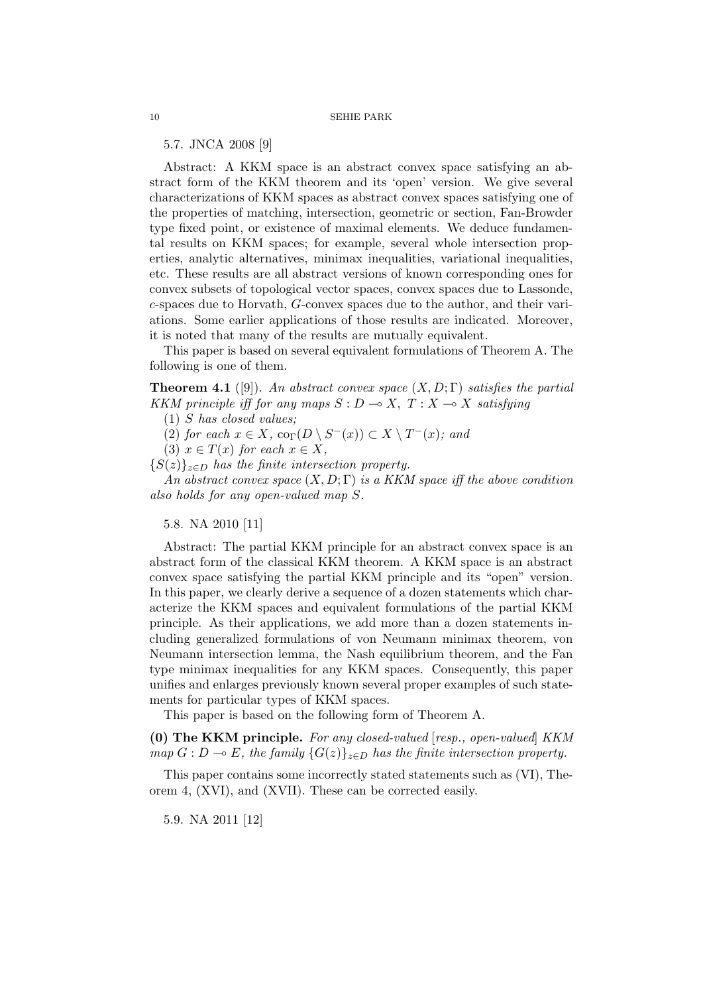5.7. JNCA 2008 [9]

Abstract: A KKM space is an abstract convex space satisfying an abstract form of the KKM theorem and its 'open' version. We give several characterizations of KKM spaces as abstract convex spaces satisfying one of the properties of matching, intersection, geometric or section, Fan-Browder type fixed point, or existence of maximal elements. We deduce fundamental results on KKM spaces; for example, several whole intersection properties, analytic alternatives, minimax inequalities, variational inequalities, etc. These results are all abstract versions of known corresponding ones for convex subsets of topological vector spaces, convex spaces due to Lassonde, *c*-spaces due to Horvath, *G*-convex spaces due to the author, and their variations. Some earlier applications of those results are indicated. Moreover, it is noted that many of the results are mutually equivalent.

This paper is based on several equivalent formulations of Theorem A. The following is one of them.

**Theorem 4.1** ([9]). *An abstract convex space* (*X, D*; Γ) *satisfies the partial KKM principle iff for any maps*  $S: D \to X$ ,  $T: X \to X$  *satisfying* 

(1) *S has closed values;*

 $(2)$  *for each*  $x \in X$ ,  $\text{co}_{\Gamma}(D \setminus S^{-}(x)) \subset X \setminus T^{-}(x)$ ; and

 $(3)$   $x \in T(x)$  *for each*  $x \in X$ ,

 ${S(z)}_{z \in D}$  *has the finite intersection property.* 

*An abstract convex space* (*X, D*; Γ) *is a KKM space iff the above condition also holds for any open-valued map S.*

# 5.8. NA 2010 [11]

Abstract: The partial KKM principle for an abstract convex space is an abstract form of the classical KKM theorem. A KKM space is an abstract convex space satisfying the partial KKM principle and its "open" version. In this paper, we clearly derive a sequence of a dozen statements which characterize the KKM spaces and equivalent formulations of the partial KKM principle. As their applications, we add more than a dozen statements including generalized formulations of von Neumann minimax theorem, von Neumann intersection lemma, the Nash equilibrium theorem, and the Fan type minimax inequalities for any KKM spaces. Consequently, this paper unifies and enlarges previously known several proper examples of such statements for particular types of KKM spaces.

This paper is based on the following form of Theorem A.

**(0) The KKM principle.** *For any closed-valued* [*resp., open-valued*] *KKM map*  $G: D \to E$ , the family  $\{G(z)\}_{z \in D}$  has the finite intersection property.

This paper contains some incorrectly stated statements such as (VI), Theorem 4, (XVI), and (XVII). These can be corrected easily.

5.9. NA 2011 [12]